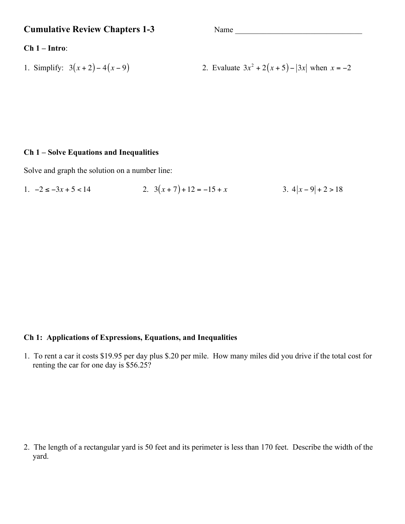**Cumulative Review Chapters 1-3** Name \_\_\_\_\_\_\_\_\_\_\_\_\_\_\_\_\_\_\_\_\_\_\_\_\_\_\_\_\_\_\_\_

### **Ch 1 – Intro**:

1. Simplify:  $3(x+2)-4(x-9)$ 

2. Evaluate  $3x^2 + 2(x+5) - |3x|$  when  $x = -2$ 

## **Ch 1 – Solve Equations and Inequalities**

Solve and graph the solution on a number line:

1. 
$$
-2 \le -3x + 5 < 14
$$
  
2.  $3(x + 7) + 12 = -15 + x$   
3.  $4|x - 9| + 2 > 18$ 

## **Ch 1: Applications of Expressions, Equations, and Inequalities**

1. To rent a car it costs \$19.95 per day plus \$.20 per mile. How many miles did you drive if the total cost for renting the car for one day is \$56.25?

2. The length of a rectangular yard is 50 feet and its perimeter is less than 170 feet. Describe the width of the yard.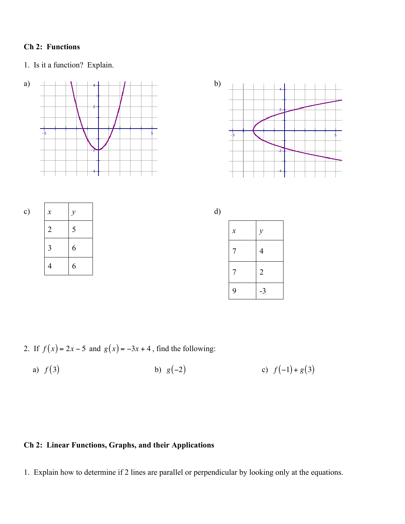# **Ch 2: Functions**

1. Is it a function? Explain.







| c) | $\boldsymbol{\chi}$ | $\mathcal V$ | u, |
|----|---------------------|--------------|----|
|    | $\mathcal{D}$       | ┍            |    |
|    | 2                   | 6            |    |
|    |                     | 6            |    |



2. If  $f(x) = 2x - 5$  and  $g(x) = -3x + 4$ , find the following:

a)  $f(3)$  b)  $g(-2)$  c)  $f(-1) + g(3)$ 

# **Ch 2: Linear Functions, Graphs, and their Applications**

1. Explain how to determine if 2 lines are parallel or perpendicular by looking only at the equations.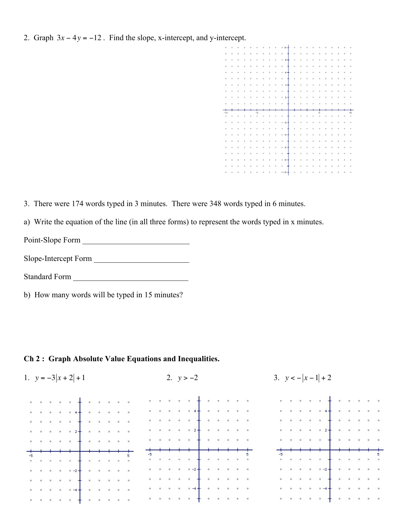2. Graph  $3x - 4y = -12$ . Find the slope, x-intercept, and y-intercept.



3. There were 174 words typed in 3 minutes. There were 348 words typed in 6 minutes.

a) Write the equation of the line (in all three forms) to represent the words typed in x minutes.

Point-Slope Form \_\_\_\_\_\_\_\_\_\_\_\_\_\_\_\_\_\_\_\_\_\_\_\_\_\_\_

Slope-Intercept Form \_\_\_\_\_\_\_\_\_\_\_\_\_\_\_\_\_\_\_\_\_\_\_\_

Standard Form \_\_\_\_\_\_\_\_\_\_\_\_\_\_\_\_\_\_\_\_\_\_\_\_\_\_\_\_\_

b) How many words will be typed in 15 minutes?

#### **Ch 2 : Graph Absolute Value Equations and Inequalities.**

| 1. $y = -3 x + 2  + 1$ |  |  |  |  |  |                                                                                                                                                                   |  | 2. $y > -2$ |  |  |  |  |  |  |  |                                                                                                                                                                                                                                                                                                                                                                                                                                                           | 3. $y < - x-1  + 2$ |  |  |  |  |  |  |  |  |  |  |                                                                                                                                                |  |  |  |  |  |
|------------------------|--|--|--|--|--|-------------------------------------------------------------------------------------------------------------------------------------------------------------------|--|-------------|--|--|--|--|--|--|--|-----------------------------------------------------------------------------------------------------------------------------------------------------------------------------------------------------------------------------------------------------------------------------------------------------------------------------------------------------------------------------------------------------------------------------------------------------------|---------------------|--|--|--|--|--|--|--|--|--|--|------------------------------------------------------------------------------------------------------------------------------------------------|--|--|--|--|--|
|                        |  |  |  |  |  | $\mathbf{a}$ , and $\mathbf{a}$ , and $\mathbf{a}$ , and $\mathbf{a}$ , and $\mathbf{a}$ , and $\mathbf{a}$ , and $\mathbf{a}$                                    |  |             |  |  |  |  |  |  |  |                                                                                                                                                                                                                                                                                                                                                                                                                                                           |                     |  |  |  |  |  |  |  |  |  |  |                                                                                                                                                |  |  |  |  |  |
|                        |  |  |  |  |  | $\alpha$ , and a small size $\alpha$ , and                                                                                                                        |  |             |  |  |  |  |  |  |  | $\begin{array}{lllllllllllllll} \mathbf{a} & \mathbf{a} & \mathbf{a} & \mathbf{a} & \mathbf{a} & \mathbf{a} & \mathbf{a} & \mathbf{a} & \mathbf{a} & \mathbf{a} & \mathbf{a} & \mathbf{a} & \mathbf{a} & \mathbf{a} & \mathbf{a} & \mathbf{a} & \mathbf{a} & \mathbf{a} & \mathbf{a} & \mathbf{a} & \mathbf{a} & \mathbf{a} & \mathbf{a} & \mathbf{a} & \mathbf{a} & \mathbf{a} & \mathbf{a} & \mathbf{a} & \mathbf{a} & \mathbf$                         |                     |  |  |  |  |  |  |  |  |  |  |                                                                                                                                                |  |  |  |  |  |
|                        |  |  |  |  |  |                                                                                                                                                                   |  |             |  |  |  |  |  |  |  | $\frac{1}{2} \quad \frac{1}{2} \quad \frac{1}{2} \quad \frac{1}{2} \quad \frac{1}{2} \quad \frac{1}{2} \quad \frac{1}{2} \quad \frac{1}{2} \quad \frac{1}{2} \quad \frac{1}{2} \quad \frac{1}{2} \quad \frac{1}{2} \quad \frac{1}{2} \quad \frac{1}{2} \quad \frac{1}{2} \quad \frac{1}{2} \quad \frac{1}{2} \quad \frac{1}{2} \quad \frac{1}{2} \quad \frac{1}{2} \quad \frac{1}{2} \quad \frac{1}{2} \quad \frac{1}{2} \quad \frac{1}{2} \quad \frac{1$ |                     |  |  |  |  |  |  |  |  |  |  | $\mathbf{y} = \mathbf{y} - \mathbf{y} = \mathbf{y} - \mathbf{y} = \mathbf{y} - \mathbf{y} = \mathbf{y} - \mathbf{y} = \mathbf{y} - \mathbf{y}$ |  |  |  |  |  |
|                        |  |  |  |  |  |                                                                                                                                                                   |  |             |  |  |  |  |  |  |  |                                                                                                                                                                                                                                                                                                                                                                                                                                                           |                     |  |  |  |  |  |  |  |  |  |  | $\label{eq:1.1} \sigma = \sigma - \sigma, \quad \sigma = \sigma - 2 + \cdots, \quad \sigma = \sigma - \sigma - \sigma, \quad \sigma$           |  |  |  |  |  |
|                        |  |  |  |  |  |                                                                                                                                                                   |  |             |  |  |  |  |  |  |  | $\mathbf{A} = \mathbf{A} \cdot \mathbf{A} + \mathbf{A} \cdot \mathbf{A} + \mathbf{A} \cdot \mathbf{A} + \mathbf{A} \cdot \mathbf{A} + \mathbf{A} \cdot \mathbf{A}$                                                                                                                                                                                                                                                                                        |                     |  |  |  |  |  |  |  |  |  |  | $\mathbf{x}=\mathbf{x} \quad \mathbf{M}=\mathbf{x} \quad \mathbf{M}=\mathbf{M}+\mathbf{M}$                                                     |  |  |  |  |  |
|                        |  |  |  |  |  |                                                                                                                                                                   |  |             |  |  |  |  |  |  |  |                                                                                                                                                                                                                                                                                                                                                                                                                                                           |                     |  |  |  |  |  |  |  |  |  |  |                                                                                                                                                |  |  |  |  |  |
|                        |  |  |  |  |  |                                                                                                                                                                   |  |             |  |  |  |  |  |  |  |                                                                                                                                                                                                                                                                                                                                                                                                                                                           |                     |  |  |  |  |  |  |  |  |  |  |                                                                                                                                                |  |  |  |  |  |
|                        |  |  |  |  |  |                                                                                                                                                                   |  |             |  |  |  |  |  |  |  |                                                                                                                                                                                                                                                                                                                                                                                                                                                           |                     |  |  |  |  |  |  |  |  |  |  |                                                                                                                                                |  |  |  |  |  |
|                        |  |  |  |  |  |                                                                                                                                                                   |  |             |  |  |  |  |  |  |  |                                                                                                                                                                                                                                                                                                                                                                                                                                                           |                     |  |  |  |  |  |  |  |  |  |  |                                                                                                                                                |  |  |  |  |  |
|                        |  |  |  |  |  |                                                                                                                                                                   |  |             |  |  |  |  |  |  |  |                                                                                                                                                                                                                                                                                                                                                                                                                                                           |                     |  |  |  |  |  |  |  |  |  |  |                                                                                                                                                |  |  |  |  |  |
|                        |  |  |  |  |  | $\mathbf{u} = \mathbf{u} - \mathbf{u} = 0.01 \quad \mathbf{u} = \mathbf{u} - \mathbf{d} + \mathbf{e} \times 0.01 \quad \mathbf{u} = 0.01 \quad \mathbf{u} = 0.01$ |  |             |  |  |  |  |  |  |  | $\mathbf{v} = \mathbf{v} \quad \text{and} \quad \mathbf{v} = \mathbf{v} + \mathbf{q} + \mathbf{v} \quad \text{and} \quad \mathbf{v} = \mathbf{v} \quad \text{and} \quad \mathbf{v} = \mathbf{v}$                                                                                                                                                                                                                                                          |                     |  |  |  |  |  |  |  |  |  |  |                                                                                                                                                |  |  |  |  |  |
|                        |  |  |  |  |  |                                                                                                                                                                   |  |             |  |  |  |  |  |  |  | . <b>.</b>                                                                                                                                                                                                                                                                                                                                                                                                                                                |                     |  |  |  |  |  |  |  |  |  |  |                                                                                                                                                |  |  |  |  |  |